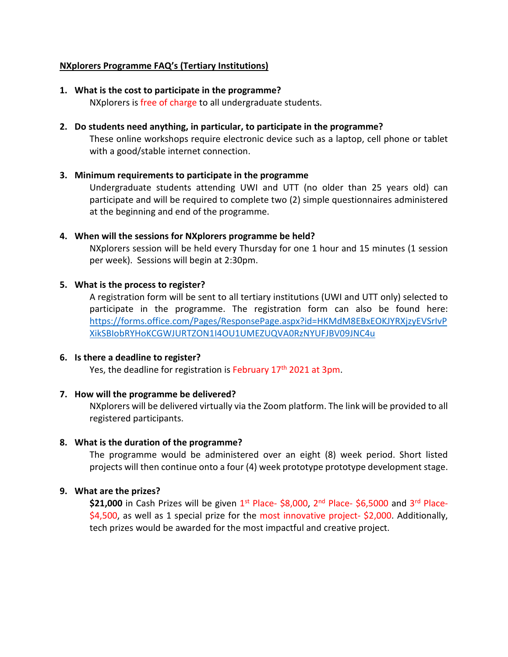## NXplorers Programme FAQ's (Tertiary Institutions)

1. What is the cost to participate in the programme?

NXplorers is free of charge to all undergraduate students.

## 2. Do students need anything, in particular, to participate in the programme?

These online workshops require electronic device such as a laptop, cell phone or tablet with a good/stable internet connection.

## 3. Minimum requirements to participate in the programme

Undergraduate students attending UWI and UTT (no older than 25 years old) can participate and will be required to complete two (2) simple questionnaires administered at the beginning and end of the programme.

## 4. When will the sessions for NXplorers programme be held?

NXplorers session will be held every Thursday for one 1 hour and 15 minutes (1 session per week). Sessions will begin at 2:30pm.

## 5. What is the process to register?

A registration form will be sent to all tertiary institutions (UWI and UTT only) selected to participate in the programme. The registration form can also be found here: https://forms.office.com/Pages/ResponsePage.aspx?id=HKMdM8EBxEOKJYRXjzyEVSrIvP XikSBIobRYHoKCGWJURTZON1I4OU1UMEZUQVA0RzNYUFJBV09JNC4u

#### 6. Is there a deadline to register?

Yes, the deadline for registration is February 17<sup>th</sup> 2021 at 3pm.

## 7. How will the programme be delivered?

NXplorers will be delivered virtually via the Zoom platform. The link will be provided to all registered participants.

## 8. What is the duration of the programme?

The programme would be administered over an eight (8) week period. Short listed projects will then continue onto a four (4) week prototype prototype development stage.

## 9. What are the prizes?

\$21,000 in Cash Prizes will be given 1<sup>st</sup> Place- \$8,000, 2<sup>nd</sup> Place- \$6,5000 and 3<sup>rd</sup> Place-\$4,500, as well as 1 special prize for the most innovative project- \$2,000. Additionally, tech prizes would be awarded for the most impactful and creative project.